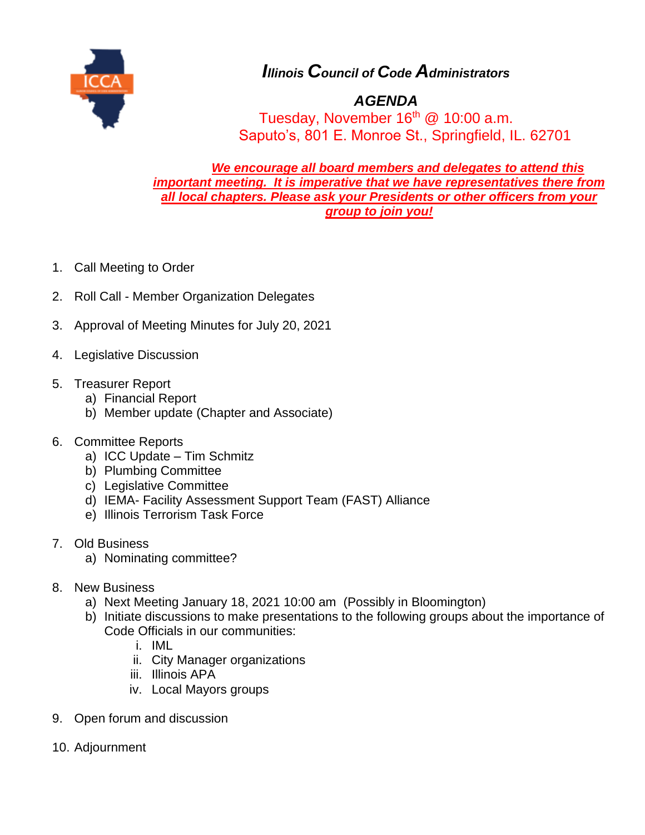

*Illinois Council of Code Administrators*

## *AGENDA*

Tuesday, November  $16<sup>th</sup>$  @ 10:00 a.m. Saputo's, 801 E. Monroe St., Springfield, IL. 62701

*We encourage all board members and delegates to attend this important meeting. It is imperative that we have representatives there from all local chapters. Please ask your Presidents or other officers from your group to join you!*

- 1. Call Meeting to Order
- 2. Roll Call Member Organization Delegates
- 3. Approval of Meeting Minutes for July 20, 2021
- 4. Legislative Discussion
- 5. Treasurer Report
	- a) Financial Report
	- b) Member update (Chapter and Associate)
- 6. Committee Reports
	- a) ICC Update Tim Schmitz
	- b) Plumbing Committee
	- c) Legislative Committee
	- d) IEMA- Facility Assessment Support Team (FAST) Alliance
	- e) Illinois Terrorism Task Force
- 7. Old Business
	- a) Nominating committee?
- 8. New Business
	- a) Next Meeting January 18, 2021 10:00 am (Possibly in Bloomington)
	- b) Initiate discussions to make presentations to the following groups about the importance of Code Officials in our communities:
		- i. IML
		- ii. City Manager organizations
		- iii. Illinois APA
		- iv. Local Mayors groups
- 9. Open forum and discussion
- 10. Adjournment